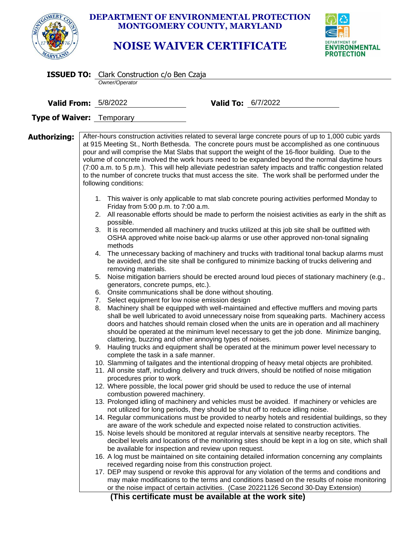|              |                                                                                                                                                                                                                                                                                                                     | <b>DEPARTMENT OF ENVIRONMENTAL PROTECTION</b><br>MONTGOMERY COUNTY, MARYLAND<br><b>NOISE WAIVER CERTIFICATE</b>                                                                                                                                                                                                                                                                                                                                                                                                                                                                                                                                                                                                                                                                                                                                                                                                                                                                                                                                                                                                                                                                                                                                                                                                                                                                                                                                                                                                                                                                                                                                                                                                                                                                                                                                                                                                                                                                                                                                                                                                                                                                                                                                                                                                                                                                                                                                                                                                                                                                                                                                                                                                                                                                                                                                                                                                                                                                                                                                                                                                                                                                                                                                                                                                                                                                                  | <b>DEPARTMENT OF</b><br>ENVIRONMENTAL<br><b>PROTECTION</b> |
|--------------|---------------------------------------------------------------------------------------------------------------------------------------------------------------------------------------------------------------------------------------------------------------------------------------------------------------------|--------------------------------------------------------------------------------------------------------------------------------------------------------------------------------------------------------------------------------------------------------------------------------------------------------------------------------------------------------------------------------------------------------------------------------------------------------------------------------------------------------------------------------------------------------------------------------------------------------------------------------------------------------------------------------------------------------------------------------------------------------------------------------------------------------------------------------------------------------------------------------------------------------------------------------------------------------------------------------------------------------------------------------------------------------------------------------------------------------------------------------------------------------------------------------------------------------------------------------------------------------------------------------------------------------------------------------------------------------------------------------------------------------------------------------------------------------------------------------------------------------------------------------------------------------------------------------------------------------------------------------------------------------------------------------------------------------------------------------------------------------------------------------------------------------------------------------------------------------------------------------------------------------------------------------------------------------------------------------------------------------------------------------------------------------------------------------------------------------------------------------------------------------------------------------------------------------------------------------------------------------------------------------------------------------------------------------------------------------------------------------------------------------------------------------------------------------------------------------------------------------------------------------------------------------------------------------------------------------------------------------------------------------------------------------------------------------------------------------------------------------------------------------------------------------------------------------------------------------------------------------------------------------------------------------------------------------------------------------------------------------------------------------------------------------------------------------------------------------------------------------------------------------------------------------------------------------------------------------------------------------------------------------------------------------------------------------------------------------------------------------------------------|------------------------------------------------------------|
|              | <b>ISSUED TO:</b> Clark Construction c/o Ben Czaja<br>Owner/Operator                                                                                                                                                                                                                                                |                                                                                                                                                                                                                                                                                                                                                                                                                                                                                                                                                                                                                                                                                                                                                                                                                                                                                                                                                                                                                                                                                                                                                                                                                                                                                                                                                                                                                                                                                                                                                                                                                                                                                                                                                                                                                                                                                                                                                                                                                                                                                                                                                                                                                                                                                                                                                                                                                                                                                                                                                                                                                                                                                                                                                                                                                                                                                                                                                                                                                                                                                                                                                                                                                                                                                                                                                                                                  |                                                            |
|              | <b>Valid From: 5/8/2022</b>                                                                                                                                                                                                                                                                                         | <b>Valid To:</b> 6/7/2022                                                                                                                                                                                                                                                                                                                                                                                                                                                                                                                                                                                                                                                                                                                                                                                                                                                                                                                                                                                                                                                                                                                                                                                                                                                                                                                                                                                                                                                                                                                                                                                                                                                                                                                                                                                                                                                                                                                                                                                                                                                                                                                                                                                                                                                                                                                                                                                                                                                                                                                                                                                                                                                                                                                                                                                                                                                                                                                                                                                                                                                                                                                                                                                                                                                                                                                                                                        |                                                            |
|              | <b>Type of Waiver:</b> Temporary                                                                                                                                                                                                                                                                                    |                                                                                                                                                                                                                                                                                                                                                                                                                                                                                                                                                                                                                                                                                                                                                                                                                                                                                                                                                                                                                                                                                                                                                                                                                                                                                                                                                                                                                                                                                                                                                                                                                                                                                                                                                                                                                                                                                                                                                                                                                                                                                                                                                                                                                                                                                                                                                                                                                                                                                                                                                                                                                                                                                                                                                                                                                                                                                                                                                                                                                                                                                                                                                                                                                                                                                                                                                                                                  |                                                            |
| Authorizing: | following conditions:<br>Friday from 5:00 p.m. to 7:00 a.m.<br>possible.<br>methods<br>removing materials.<br>generators, concrete pumps, etc.).<br>Select equipment for low noise emission design<br>7.<br>8.<br>complete the task in a safe manner.<br>procedures prior to work.<br>combustion powered machinery. | After-hours construction activities related to several large concrete pours of up to 1,000 cubic yards<br>at 915 Meeting St., North Bethesda. The concrete pours must be accomplished as one continuous<br>pour and will comprise the Mat Slabs that support the weight of the 16-floor building. Due to the<br>volume of concrete involved the work hours need to be expanded beyond the normal daytime hours<br>(7:00 a.m. to 5 p.m.). This will help alleviate pedestrian safety impacts and traffic congestion related<br>to the number of concrete trucks that must access the site. The work shall be performed under the<br>1. This waiver is only applicable to mat slab concrete pouring activities performed Monday to<br>2. All reasonable efforts should be made to perform the noisiest activities as early in the shift as<br>3. It is recommended all machinery and trucks utilized at this job site shall be outfitted with<br>OSHA approved white noise back-up alarms or use other approved non-tonal signaling<br>4. The unnecessary backing of machinery and trucks with traditional tonal backup alarms must<br>be avoided, and the site shall be configured to minimize backing of trucks delivering and<br>5. Noise mitigation barriers should be erected around loud pieces of stationary machinery (e.g.,<br>6. Onsite communications shall be done without shouting.<br>Machinery shall be equipped with well-maintained and effective mufflers and moving parts<br>shall be well lubricated to avoid unnecessary noise from squeaking parts. Machinery access<br>doors and hatches should remain closed when the units are in operation and all machinery<br>should be operated at the minimum level necessary to get the job done. Minimize banging,<br>clattering, buzzing and other annoying types of noises.<br>9. Hauling trucks and equipment shall be operated at the minimum power level necessary to<br>10. Slamming of tailgates and the intentional dropping of heavy metal objects are prohibited.<br>11. All onsite staff, including delivery and truck drivers, should be notified of noise mitigation<br>12. Where possible, the local power grid should be used to reduce the use of internal<br>13. Prolonged idling of machinery and vehicles must be avoided. If machinery or vehicles are<br>not utilized for long periods, they should be shut off to reduce idling noise.<br>14. Regular communications must be provided to nearby hotels and residential buildings, so they<br>are aware of the work schedule and expected noise related to construction activities.<br>15. Noise levels should be monitored at regular intervals at sensitive nearby receptors. The<br>decibel levels and locations of the monitoring sites should be kept in a log on site, which shall<br>be available for inspection and review upon request.<br>16. A log must be maintained on site containing detailed information concerning any complaints<br>received regarding noise from this construction project.<br>17. DEP may suspend or revoke this approval for any violation of the terms and conditions and<br>may make modifications to the terms and conditions based on the results of noise monitoring<br>or the noise impact of certain activities. (Case 20221126 Second 30-Day Extension)<br>(This certificate must be available at the work site) |                                                            |